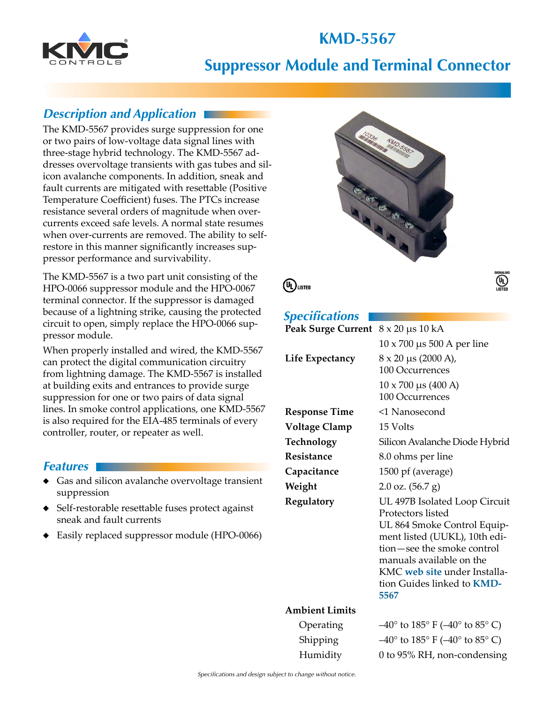# **KMD-5567**



## **Suppressor Module and Terminal Connector**

### *Description and Application*

The KMD-5567 provides surge suppression for one or two pairs of low-voltage data signal lines with three-stage hybrid technology. The KMD-5567 addresses overvoltage transients with gas tubes and silicon avalanche components. In addition, sneak and fault currents are mitigated with resettable (Positive Temperature Coefficient) fuses. The PTCs increase resistance several orders of magnitude when overcurrents exceed safe levels. A normal state resumes when over-currents are removed. The ability to selfrestore in this manner significantly increases suppressor performance and survivability.

The KMD-5567 is a two part unit consisting of the HPO-0066 suppressor module and the HPO-0067 terminal connector. If the suppressor is damaged because of a lightning strike, causing the protected circuit to open, simply replace the HPO-0066 suppressor module.

When properly installed and wired, the KMD-5567 can protect the digital communication circuitry from lightning damage. The KMD-5567 is installed at building exits and entrances to provide surge suppression for one or two pairs of data signal lines. In smoke control applications, one KMD-5567 is also required for the EIA-485 terminals of every controller, router, or repeater as well.

#### *Features*

- ◆ Gas and silicon avalanche overvoltage transient suppression
- ◆ Self-restorable resettable fuses protect against sneak and fault currents
- ◆ Easily replaced suppressor module (HPO-0066)





### *Specifications*

| speemaanons                                    |                                    |
|------------------------------------------------|------------------------------------|
| Peak Surge Current $8 \times 20 \,\mu s$ 10 kA |                                    |
|                                                | $10 \times 700$ µs 500 A per line  |
| Life Expectancy                                | $8 \times 20 \mu s$ (2000 A),      |
|                                                | 100 Occurrences                    |
|                                                | $10 \times 700 \mu s (400 A)$      |
|                                                | 100 Occurrences                    |
| Response Time                                  | <1 Nanosecond                      |
| <b>Voltage Clamp</b>                           | 15 Volts                           |
| Technology                                     | Silicon Avalanche Diode Hybrid     |
| Resistance                                     | 8.0 ohms per line                  |
| Capacitance                                    | 1500 pf (average)                  |
| Weight                                         | $2.0 \text{ oz.} (56.7 \text{ g})$ |
| Regulatory                                     | UL 497B Isolated Loop Circuit      |
|                                                | Protectors listed                  |
|                                                | UL 864 Smoke Control Equip-        |
|                                                | ment listed (UUKL), 10th edi-      |
|                                                | tion-see the smoke control         |
|                                                | manuals available on the           |
|                                                | KMC web site under Installa-       |
|                                                | tion Guides linked to <b>KMD-</b>  |
|                                                | 5567                               |
| <b>Ambient Limits</b>                          |                                    |

#### An

Operating  $-40^{\circ}$  to  $185^{\circ}$  F ( $-40^{\circ}$  to  $85^{\circ}$  C) Shipping  $-40^\circ$  to  $185^\circ$  F ( $-40^\circ$  to  $85^\circ$  C) Humidity 0 to 95% RH, non-condensing

 $\overline{\mathbb{Q}}$